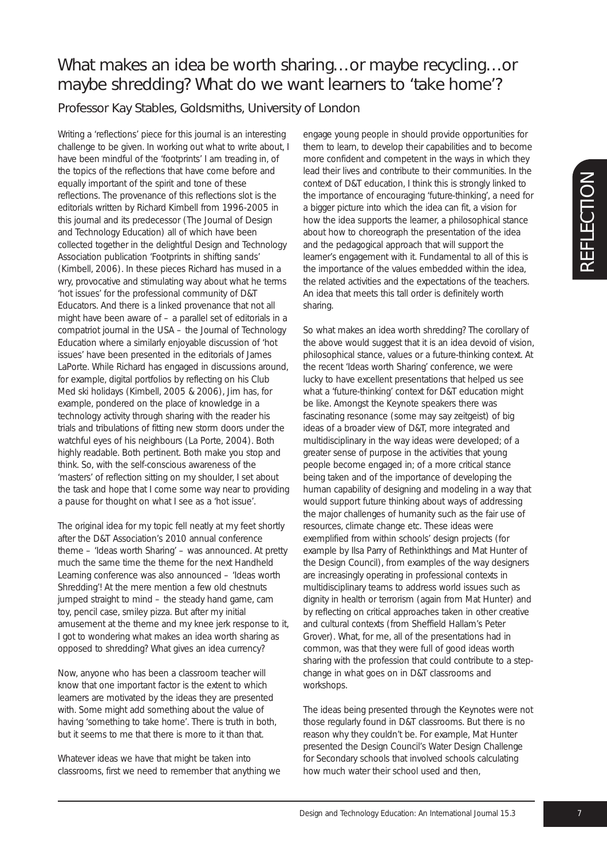## What makes an idea be worth sharing…or maybe recycling…or maybe shredding? What do we want learners to 'take home'?

Professor Kay Stables, Goldsmiths, University of London

Writing a 'reflections' piece for this journal is an interesting challenge to be given. In working out what to write about, I have been mindful of the 'footprints' I am treading in, of the topics of the reflections that have come before and equally important of the spirit and tone of these reflections. The provenance of this reflections slot is the editorials written by Richard Kimbell from 1996-2005 in this journal and its predecessor (The Journal of Design and Technology Education) all of which have been collected together in the delightful Design and Technology Association publication *'Footprints in shifting sands'* (Kimbell, 2006). In these pieces Richard has mused in a wry, provocative and stimulating way about what he terms 'hot issues' for the professional community of D&T Educators. And there is a linked provenance that not all might have been aware of – a parallel set of editorials in a compatriot journal in the USA – the Journal of Technology Education where a similarly enjoyable discussion of 'hot issues' have been presented in the editorials of James LaPorte. While Richard has engaged in discussions around, for example, digital portfolios by reflecting on his Club Med ski holidays (Kimbell, 2005 & 2006), Jim has, for example, pondered on the place of knowledge in a technology activity through sharing with the reader his trials and tribulations of fitting new storm doors under the watchful eyes of his neighbours (La Porte, 2004). Both highly readable. Both pertinent. Both make you stop and think. So, with the self-conscious awareness of the 'masters' of reflection sitting on my shoulder, I set about the task and hope that I come some way near to providing a *pause for thought* on what I see as a 'hot issue'.

The original idea for my topic fell neatly at my feet shortly after the D&T Association's 2010 annual conference theme – 'Ideas worth Sharing' – was announced. At pretty much the same time the theme for the next Handheld Learning conference was also announced – 'Ideas worth Shredding'! At the mere mention a few old chestnuts jumped straight to mind – the steady hand game, cam toy, pencil case, smiley pizza. But after my initial amusement at the theme and my knee jerk response to it, I got to wondering what makes an idea worth sharing as opposed to shredding? What gives an idea currency?

Now, anyone who has been a classroom teacher will know that one important factor is the extent to which learners are motivated by the ideas they are presented with. Some might add something about the value of having 'something to take home'. There is truth in both, but it seems to me that there is more to it than that.

Whatever ideas we have that might be taken into classrooms, first we need to remember that anything we engage young people in should provide opportunities for them to learn, to develop their capabilities and to become more confident and competent in the ways in which they lead their lives and contribute to their communities. In the context of D&T education, I think this is strongly linked to the importance of encouraging 'future-thinking', a need for a bigger picture into which the idea can fit, a vision for how the idea supports the learner, a philosophical stance about how to choreograph the presentation of the idea and the pedagogical approach that will support the learner's engagement with it. Fundamental to all of this is the importance of the values embedded within the idea, the related activities and the expectations of the teachers. An idea that meets this tall order is definitely worth sharing.

So what makes an idea worth shredding? The corollary of the above would suggest that it is an idea devoid of vision, philosophical stance, values or a future-thinking context. At the recent 'Ideas worth Sharing' conference, we were lucky to have excellent presentations that helped us see what a 'future-thinking' context for D&T education might be like. Amongst the Keynote speakers there was fascinating resonance (some may say zeitgeist) of big ideas of a broader view of D&T, more integrated and multidisciplinary in the way ideas were developed; of a greater sense of purpose in the activities that young people become engaged in; of a more critical stance being taken and of the importance of developing the human capability of designing and modeling in a way that would support future thinking about ways of addressing the major challenges of humanity such as the fair use of resources, climate change etc. These ideas were exemplified from within schools' design projects (for example by Ilsa Parry of Rethinkthings and Mat Hunter of the Design Council), from examples of the way designers are increasingly operating in professional contexts in multidisciplinary teams to address world issues such as dignity in health or terrorism (again from Mat Hunter) and by reflecting on critical approaches taken in other creative and cultural contexts (from Sheffield Hallam's Peter Grover). What, for me, all of the presentations had in common, was that they were full of good ideas worth sharing with the profession that could contribute to a stepchange in what goes on in D&T classrooms and workshops.

The ideas being presented through the Keynotes were not those regularly found in D&T classrooms. But there is no reason why they couldn't be. For example, Mat Hunter presented the Design Council's Water Design Challenge for Secondary schools that involved schools calculating how much water their school used and then,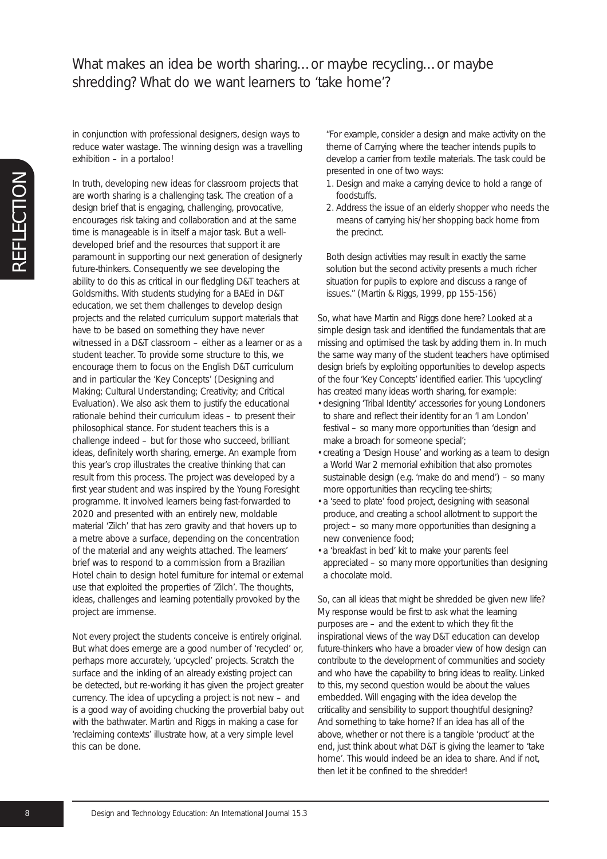## What makes an idea be worth sharing...or maybe recycling...or maybe shredding? What do we want learners to 'take home'?

in conjunction with professional designers, design ways to reduce water wastage. The winning design was a travelling exhibition – in a portaloo!

In truth, developing new ideas for classroom projects that are worth sharing is a challenging task. The creation of a design brief that is engaging, challenging, provocative, encourages risk taking and collaboration and at the same time is manageable is in itself a major task. But a welldeveloped brief and the resources that support it are paramount in supporting our next generation of designerly future-thinkers. Consequently we see developing the ability to do this as critical in our fledgling D&T teachers at Goldsmiths. With students studying for a BAEd in D&T education, we set them challenges to develop design projects and the related curriculum support materials that have to be based on something they have *never* witnessed in a D&T classroom – either as a learner or as a student teacher. To provide some structure to this, we encourage them to focus on the English D&T curriculum and in particular the 'Key Concepts' (Designing and Making; Cultural Understanding; Creativity; and Critical Evaluation). We also ask them to justify the educational rationale behind their curriculum ideas – to present their philosophical stance. For student teachers this is a challenge indeed – but for those who succeed, brilliant ideas, definitely worth sharing, emerge. An example from this year's crop illustrates the creative thinking that can result from this process. The project was developed by a first year student and was inspired by the Young Foresight programme. It involved learners being fast-forwarded to 2020 and presented with an entirely new, moldable material 'Zilch' that has zero gravity and that hovers up to a metre above a surface, depending on the concentration of the material and any weights attached. The learners' brief was to respond to a commission from a Brazilian Hotel chain to design hotel furniture for internal or external use that exploited the properties of 'Zilch'. The thoughts, ideas, challenges and learning potentially provoked by the project are immense.

Not every project the students conceive is entirely original. But what does emerge are a good number of 'recycled' or, perhaps more accurately, 'upcycled' projects. Scratch the surface and the inkling of an already existing project can be detected, but re-working it has given the project greater currency. The idea of upcycling a project is not new – and is a good way of avoiding chucking the proverbial baby out with the bathwater. Martin and Riggs in making a case for 'reclaiming contexts' illustrate how, at a very simple level this can be done.

"For example, consider a design and make activity on the theme of *Carrying* where the teacher intends pupils to develop a carrier from textile materials. The task could be presented in one of two ways:

- 1. Design and make a carrying device to hold a range of foodstuffs.
- 2. Address the issue of an elderly shopper who needs the means of carrying his/her shopping back home from the precinct.

Both design activities may result in exactly the same solution but the second activity presents a much richer situation for pupils to explore and discuss a range of issues." (Martin & Riggs, 1999, pp 155-156)

So, what have Martin and Riggs done here? Looked at a simple design task and identified the fundamentals that are missing and optimised the task by adding them in. In much the same way many of the student teachers have optimised design briefs by exploiting opportunities to develop aspects of the four 'Key Concepts' identified earlier. This 'upcycling' has created many ideas worth sharing, for example:

- designing 'Tribal Identity' accessories for young Londoners to share and reflect their identity for an 'I am London' festival – so many more opportunities than 'design and make a broach for someone special';
- creating a 'Design House' and working as a team to design a World War 2 memorial exhibition that also promotes sustainable design (e.g. 'make do and mend') – so many more opportunities than recycling tee-shirts;
- a 'seed to plate' food project, designing with seasonal produce, and creating a school allotment to support the project – so many more opportunities than designing a new convenience food;
- a 'breakfast in bed' kit to make your parents feel appreciated – so many more opportunities than designing a chocolate mold.

So, can all ideas that might be shredded be given new life? My response would be first to ask what the learning purposes are – and the extent to which they fit the inspirational views of the way D&T education can develop future-thinkers who have a broader view of how design can contribute to the development of communities and society and who have the capability to bring ideas to reality. Linked to this, my second question would be about the values embedded. Will engaging with the idea develop the criticality and sensibility to support thoughtful designing? And something to take home? If an idea has all of the above, whether or not there is a tangible 'product' at the end, just think about what D&T is giving the learner to 'take home'. This would indeed be an idea to share. And if not, then let it be confined to the shredder!